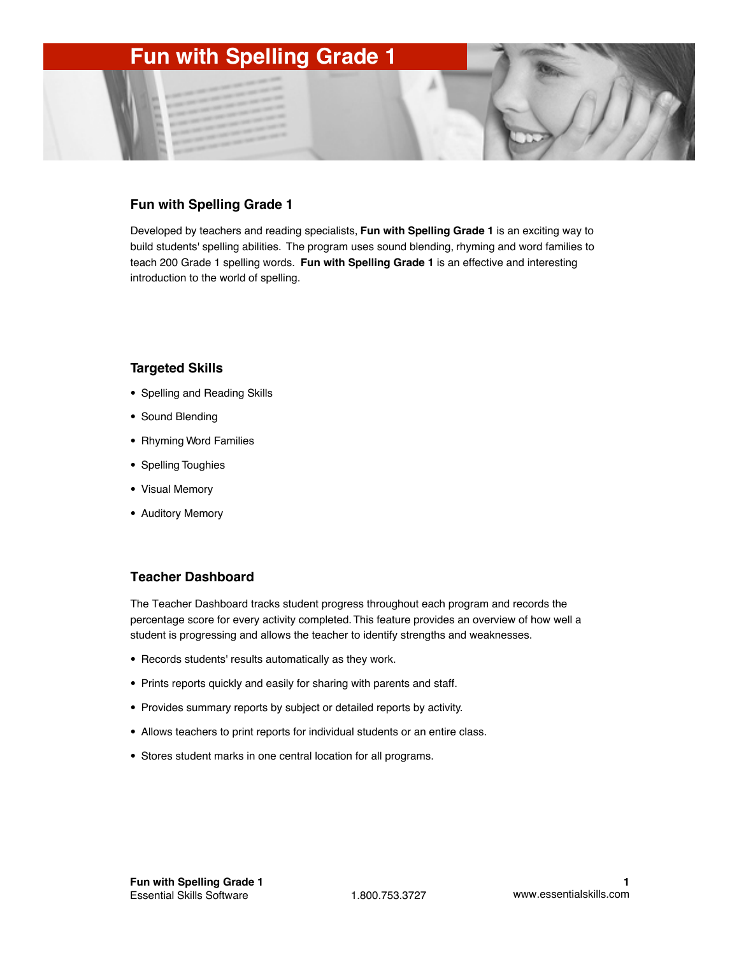# **Fun with Spelling Grade 1**

### **Fun with Spelling Grade 1**

Developed by teachers and reading specialists, **Fun with Spelling Grade 1** is an exciting way to build students' spelling abilities. The program uses sound blending, rhyming and word families to teach 200 Grade 1 spelling words. **Fun with Spelling Grade 1** is an effective and interesting introduction to the world of spelling.

#### **Targeted Skills**

- Spelling and Reading Skills
- Sound Blending
- Rhyming Word Families
- Spelling Toughies
- Visual Memory
- Auditory Memory

### **Teacher Dashboard**

The Teacher Dashboard tracks student progress throughout each program and records the percentage score for every activity completed. This feature provides an overview of how well a student is progressing and allows the teacher to identify strengths and weaknesses.

- Records students' results automatically as they work.
- Prints reports quickly and easily for sharing with parents and staff.
- Provides summary reports by subject or detailed reports by activity.
- Allows teachers to print reports for individual students or an entire class.
- Stores student marks in one central location for all programs.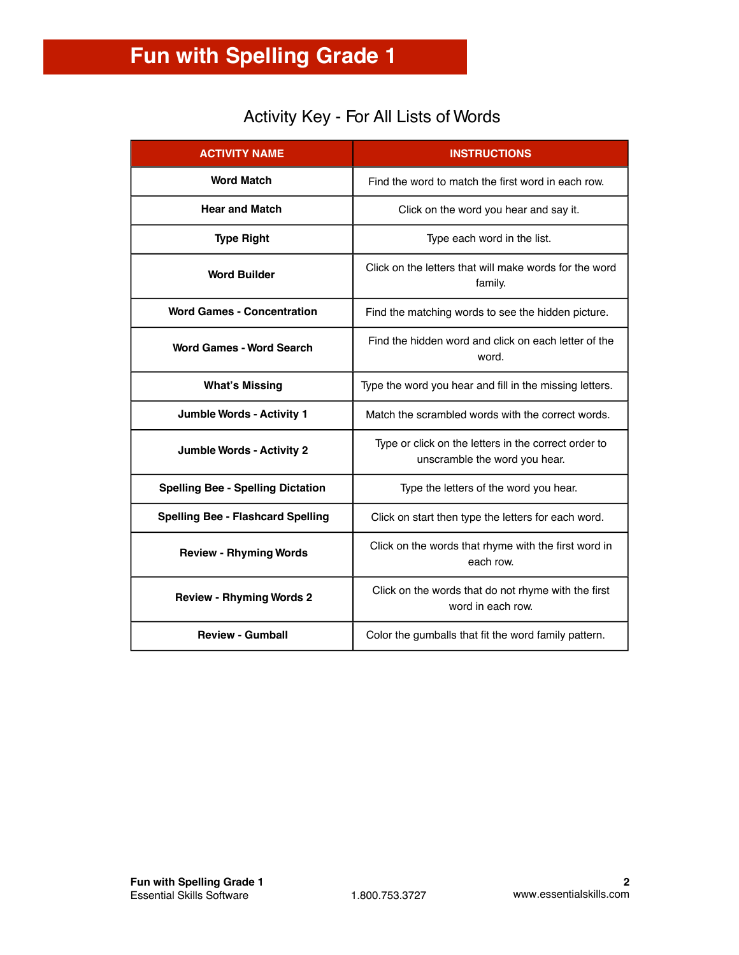|  |  |  |  | Activity Key - For All Lists of Words |
|--|--|--|--|---------------------------------------|
|--|--|--|--|---------------------------------------|

| <b>ACTIVITY NAME</b>                     | <b>INSTRUCTIONS</b>                                                                   |  |
|------------------------------------------|---------------------------------------------------------------------------------------|--|
| <b>Word Match</b>                        | Find the word to match the first word in each row.                                    |  |
| <b>Hear and Match</b>                    | Click on the word you hear and say it.                                                |  |
| <b>Type Right</b>                        | Type each word in the list.                                                           |  |
| <b>Word Builder</b>                      | Click on the letters that will make words for the word<br>family.                     |  |
| <b>Word Games - Concentration</b>        | Find the matching words to see the hidden picture.                                    |  |
| <b>Word Games - Word Search</b>          | Find the hidden word and click on each letter of the<br>word.                         |  |
| <b>What's Missing</b>                    | Type the word you hear and fill in the missing letters.                               |  |
| <b>Jumble Words - Activity 1</b>         | Match the scrambled words with the correct words.                                     |  |
| <b>Jumble Words - Activity 2</b>         | Type or click on the letters in the correct order to<br>unscramble the word you hear. |  |
| <b>Spelling Bee - Spelling Dictation</b> | Type the letters of the word you hear.                                                |  |
| <b>Spelling Bee - Flashcard Spelling</b> | Click on start then type the letters for each word.                                   |  |
| <b>Review - Rhyming Words</b>            | Click on the words that rhyme with the first word in<br>each row.                     |  |
| <b>Review - Rhyming Words 2</b>          | Click on the words that do not rhyme with the first<br>word in each row.              |  |
| <b>Review - Gumball</b>                  | Color the gumballs that fit the word family pattern.                                  |  |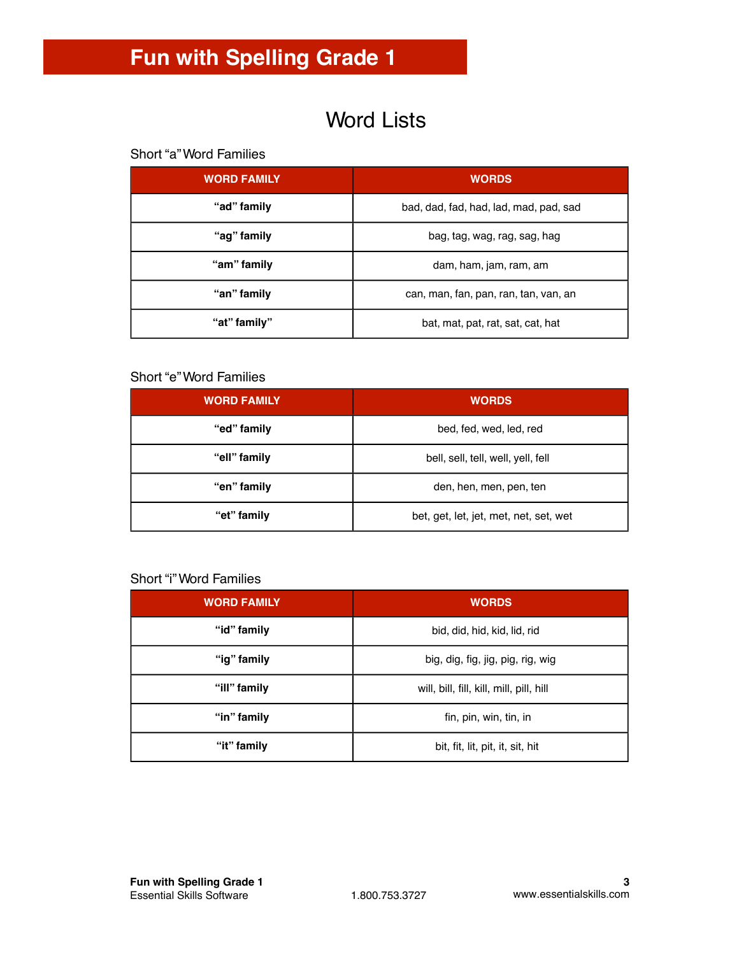# Word Lists

### Short "a" Word Families

| <b>WORD FAMILY</b> | <b>WORDS</b>                           |  |
|--------------------|----------------------------------------|--|
| "ad" family        | bad, dad, fad, had, lad, mad, pad, sad |  |
| "ag" family        | bag, tag, wag, rag, sag, hag           |  |
| "am" family        | dam, ham, jam, ram, am                 |  |
| "an" family        | can, man, fan, pan, ran, tan, van, an  |  |
| "at" family"       | bat, mat, pat, rat, sat, cat, hat      |  |

### Short "e" Word Families

| <b>WORD FAMILY</b> | <b>WORDS</b>                           |  |
|--------------------|----------------------------------------|--|
| "ed" family        | bed, fed, wed, led, red                |  |
| "ell" family       | bell, sell, tell, well, yell, fell     |  |
| "en" family        | den, hen, men, pen, ten                |  |
| "et" family        | bet, get, let, jet, met, net, set, wet |  |

### Short "i" Word Families

| <b>WORD FAMILY</b> | <b>WORDS</b>                             |  |
|--------------------|------------------------------------------|--|
| "id" family        | bid, did, hid, kid, lid, rid             |  |
| "ig" family        | big, dig, fig, jig, pig, rig, wig        |  |
| "ill" family       | will, bill, fill, kill, mill, pill, hill |  |
| "in" family        | fin, pin, win, tin, in                   |  |
| "it" family        | bit, fit, lit, pit, it, sit, hit         |  |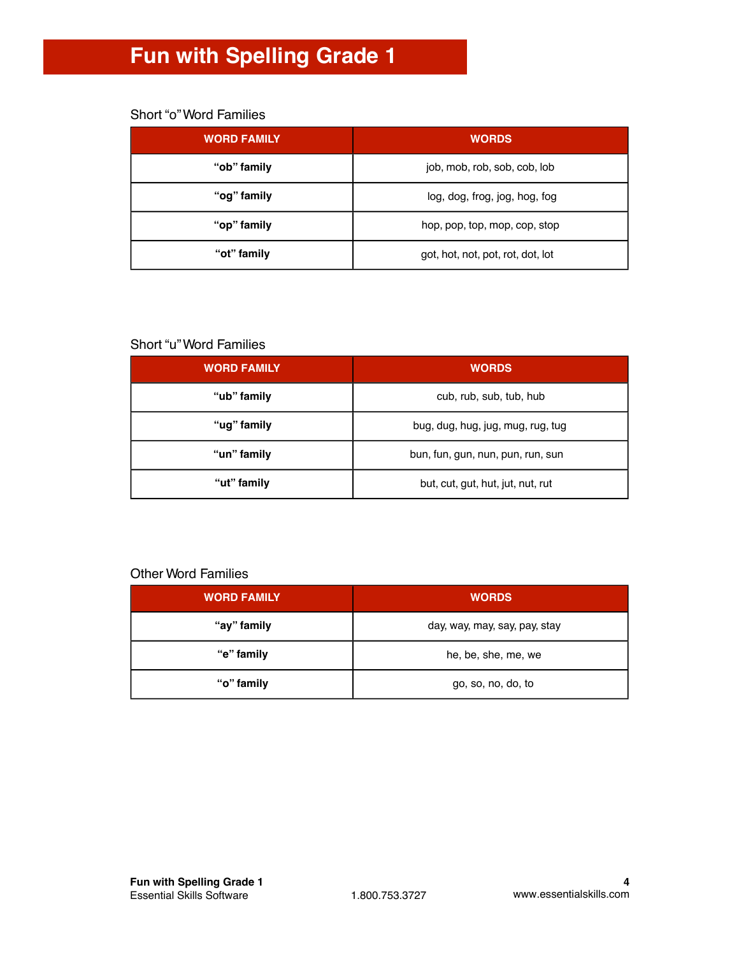# **Fun with Spelling Grade 1**

### Short "o" Word Families

| <b>WORD FAMILY</b> | <b>WORDS</b>                      |  |
|--------------------|-----------------------------------|--|
| "ob" family        | job, mob, rob, sob, cob, lob      |  |
| "og" family        | log, dog, frog, jog, hog, fog     |  |
| "op" family        | hop, pop, top, mop, cop, stop     |  |
| "ot" family        | got, hot, not, pot, rot, dot, lot |  |

# Short "u" Word Families

| <b>WORD FAMILY</b> | <b>WORDS</b>                      |  |
|--------------------|-----------------------------------|--|
| "ub" family        | cub, rub, sub, tub, hub           |  |
| "ug" family        | bug, dug, hug, jug, mug, rug, tug |  |
| "un" family        | bun, fun, gun, nun, pun, run, sun |  |
| "ut" family        | but, cut, gut, hut, jut, nut, rut |  |

### Other Word Families

| <b>WORD FAMILY.</b> | <b>WORDS</b>                  |  |
|---------------------|-------------------------------|--|
| "ay" family         | day, way, may, say, pay, stay |  |
| "e" family          | he, be, she, me, we           |  |
| "o" family          | go, so, no, do, to            |  |